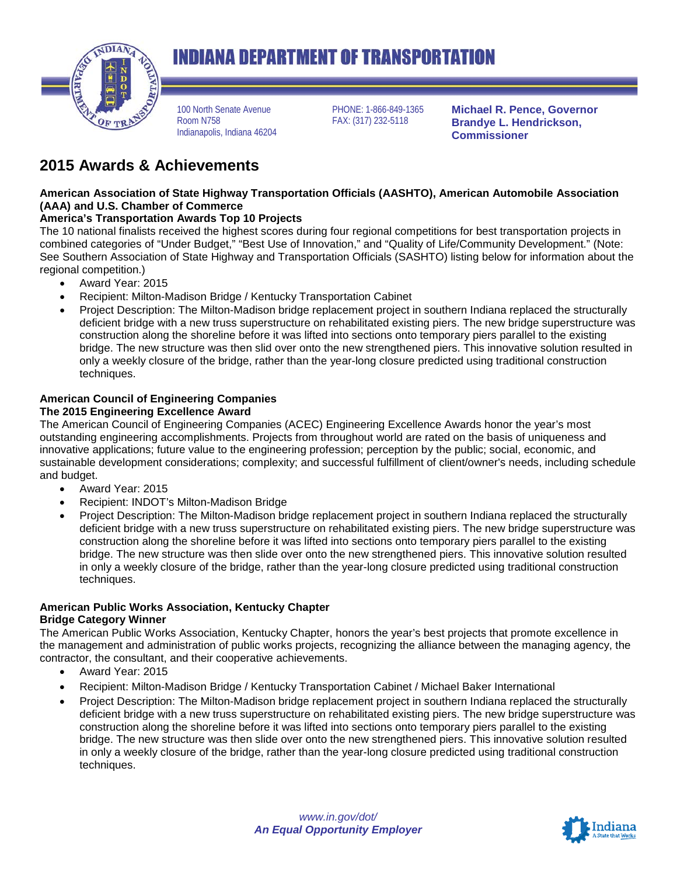

# **INDIANA DEPARTMENT OF TRANSPORTATION**

100 North Senate Avenue Room N758 Indianapolis, Indiana 46204 PHONE: 1-866-849-1365 FAX: (317) 232-5118

**Michael R. Pence, Governor Brandye L. Hendrickson, Commissioner**

# **2015 Awards & Achievements**

# **American Association of State Highway Transportation Officials (AASHTO), American Automobile Association (AAA) and U.S. Chamber of Commerce**

# **America's Transportation Awards Top 10 Projects**

The 10 national finalists received the highest scores during four regional competitions for best transportation projects in combined categories of "Under Budget," "Best Use of Innovation," and "Quality of Life/Community Development." (Note: See Southern Association of State Highway and Transportation Officials (SASHTO) listing below for information about the regional competition.)

- Award Year: 2015
- Recipient: Milton-Madison Bridge / Kentucky Transportation Cabinet
- Project Description: The Milton-Madison bridge replacement project in southern Indiana replaced the structurally deficient bridge with a new truss superstructure on rehabilitated existing piers. The new bridge superstructure was construction along the shoreline before it was lifted into sections onto temporary piers parallel to the existing bridge. The new structure was then slid over onto the new strengthened piers. This innovative solution resulted in only a weekly closure of the bridge, rather than the year-long closure predicted using traditional construction techniques.

#### **American Council of Engineering Companies The 2015 Engineering Excellence Award**

The American Council of Engineering Companies (ACEC) Engineering Excellence Awards honor the year's most outstanding engineering accomplishments. Projects from throughout world are rated on the basis of uniqueness and innovative applications; future value to the engineering profession; perception by the public; social, economic, and sustainable development considerations; complexity; and successful fulfillment of client/owner's needs, including schedule and budget.

- Award Year: 2015
- Recipient: INDOT's Milton-Madison Bridge
- Project Description: The Milton-Madison bridge replacement project in southern Indiana replaced the structurally deficient bridge with a new truss superstructure on rehabilitated existing piers. The new bridge superstructure was construction along the shoreline before it was lifted into sections onto temporary piers parallel to the existing bridge. The new structure was then slide over onto the new strengthened piers. This innovative solution resulted in only a weekly closure of the bridge, rather than the year-long closure predicted using traditional construction techniques.

# **American Public Works Association, Kentucky Chapter**

### **Bridge Category Winner**

The American Public Works Association, Kentucky Chapter, honors the year's best projects that promote excellence in the management and administration of public works projects, recognizing the alliance between the managing agency, the contractor, the consultant, and their cooperative achievements.

- Award Year: 2015
- Recipient: Milton-Madison Bridge / Kentucky Transportation Cabinet / Michael Baker International
- Project Description: The Milton-Madison bridge replacement project in southern Indiana replaced the structurally deficient bridge with a new truss superstructure on rehabilitated existing piers. The new bridge superstructure was construction along the shoreline before it was lifted into sections onto temporary piers parallel to the existing bridge. The new structure was then slide over onto the new strengthened piers. This innovative solution resulted in only a weekly closure of the bridge, rather than the year-long closure predicted using traditional construction techniques.

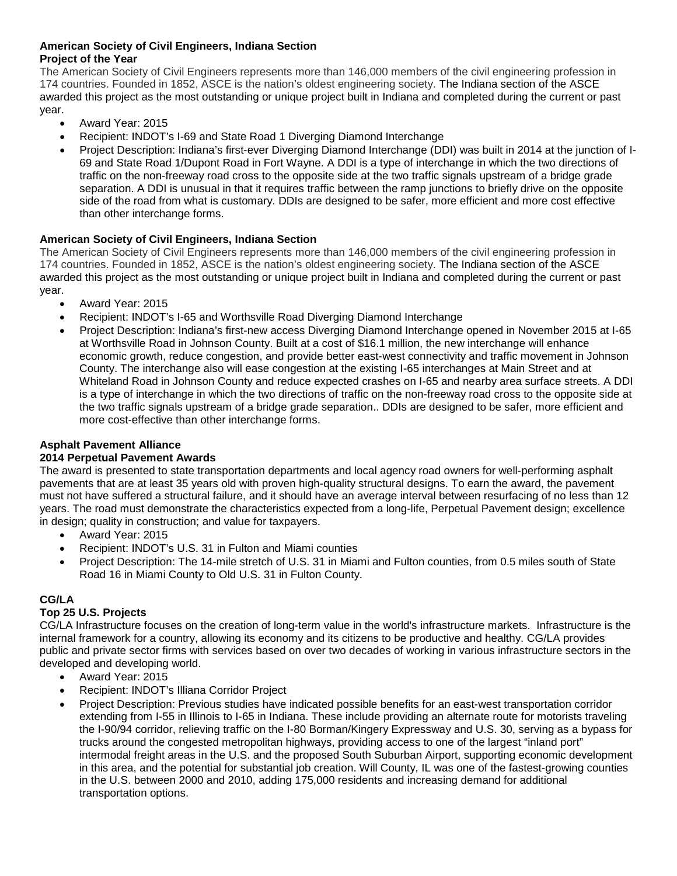### **American Society of Civil Engineers, Indiana Section Project of the Year**

The American Society of Civil Engineers represents more than 146,000 members of the civil engineering profession in 174 countries. Founded in 1852, ASCE is the nation's oldest engineering society. The Indiana section of the ASCE awarded this project as the most outstanding or unique project built in Indiana and completed during the current or past year.

- Award Year: 2015
- Recipient: INDOT's I-69 and State Road 1 Diverging Diamond Interchange
- Project Description: Indiana's first-ever Diverging Diamond Interchange (DDI) was built in 2014 at the junction of I-69 and State Road 1/Dupont Road in Fort Wayne. A DDI is a type of interchange in which the two directions of traffic on the non-freeway road cross to the opposite side at the two traffic signals upstream of a bridge grade separation. A DDI is unusual in that it requires traffic between the ramp junctions to briefly drive on the opposite side of the road from what is customary. DDIs are designed to be safer, more efficient and more cost effective than other interchange forms.

## **American Society of Civil Engineers, Indiana Section**

The American Society of Civil Engineers represents more than 146,000 members of the civil engineering profession in 174 countries. Founded in 1852, ASCE is the nation's oldest engineering society. The Indiana section of the ASCE awarded this project as the most outstanding or unique project built in Indiana and completed during the current or past year.

- Award Year: 2015
- Recipient: INDOT's I-65 and Worthsville Road Diverging Diamond Interchange
- Project Description: Indiana's first-new access Diverging Diamond Interchange opened in November 2015 at I-65 at Worthsville Road in Johnson County. Built at a cost of \$16.1 million, the new interchange will enhance economic growth, reduce congestion, and provide better east-west connectivity and traffic movement in Johnson County. The interchange also will ease congestion at the existing I-65 interchanges at Main Street and at Whiteland Road in Johnson County and reduce expected crashes on I-65 and nearby area surface streets. A DDI is a type of interchange in which the two directions of traffic on the non-freeway road cross to the opposite side at the two traffic signals upstream of a bridge grade separation.. DDIs are designed to be safer, more efficient and more cost-effective than other interchange forms.

# **Asphalt Pavement Alliance**

### **2014 Perpetual Pavement Awards**

The award is presented to state transportation departments and local agency road owners for well-performing asphalt pavements that are at least 35 years old with proven high-quality structural designs. To earn the award, the pavement must not have suffered a structural failure, and it should have an average interval between resurfacing of no less than 12 years. The road must demonstrate the characteristics expected from a long-life, Perpetual Pavement design; excellence in design; quality in construction; and value for taxpayers.

- Award Year: 2015
- Recipient: INDOT's U.S. 31 in Fulton and Miami counties
- Project Description: The 14-mile stretch of U.S. 31 in Miami and Fulton counties, from 0.5 miles south of State Road 16 in Miami County to Old U.S. 31 in Fulton County.

# **CG/LA**

# **Top 25 U.S. Projects**

CG/LA Infrastructure focuses on the creation of long-term value in the world's infrastructure markets. Infrastructure is the internal framework for a country, allowing its economy and its citizens to be productive and healthy. CG/LA provides public and private sector firms with services based on over two decades of working in various infrastructure sectors in the developed and developing world.

- Award Year: 2015
- Recipient: INDOT's Illiana Corridor Project
- Project Description: Previous studies have indicated possible benefits for an east-west transportation corridor extending from I-55 in Illinois to I-65 in Indiana. These include providing an alternate route for motorists traveling the I-90/94 corridor, relieving traffic on the I-80 Borman/Kingery Expressway and U.S. 30, serving as a bypass for trucks around the congested metropolitan highways, providing access to one of the largest "inland port" intermodal freight areas in the U.S. and the proposed South Suburban Airport, supporting economic development in this area, and the potential for substantial job creation. Will County, IL was one of the fastest-growing counties in the U.S. between 2000 and 2010, adding 175,000 residents and increasing demand for additional transportation options.